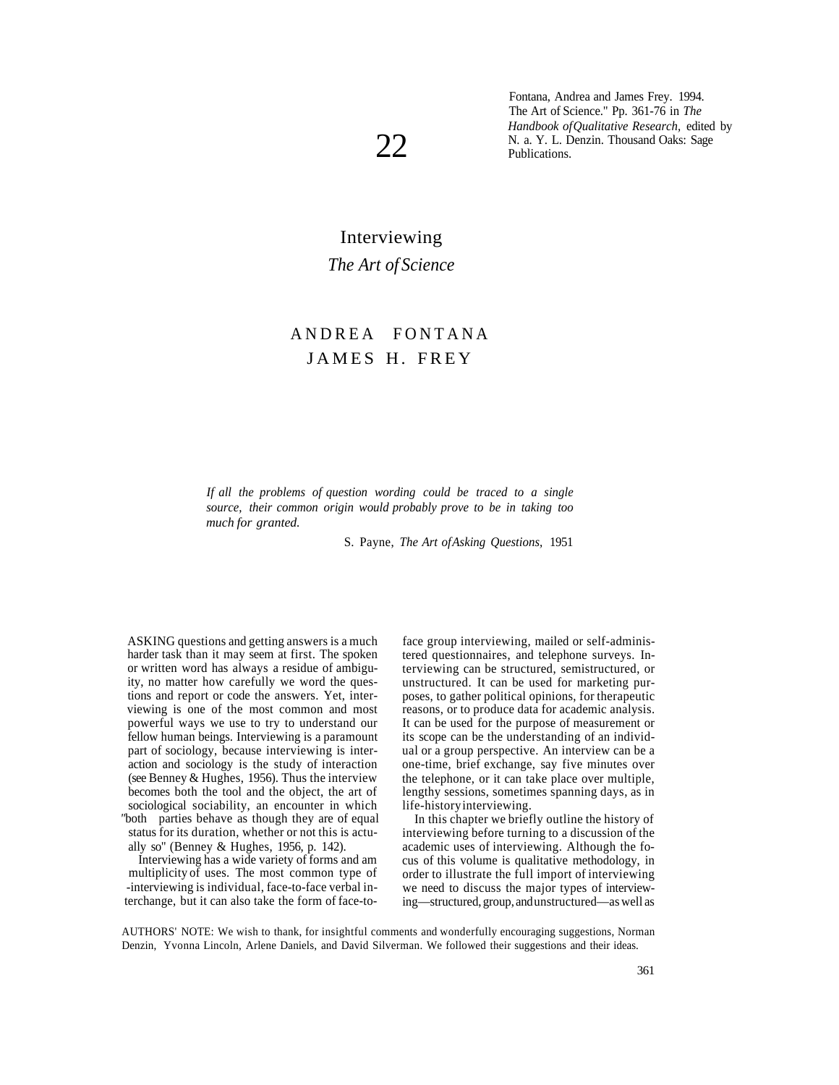Fontana, Andrea and James Frey. 1994. The Art of Science." Pp. 361-76 in *The Handbook of Qualitative Research,* edited by N. a. Y. L. Denzin. Thousand Oaks: Sage Publications.

Interviewing *The Art of Science*

## ANDREA FONTANA JAMES H. FREY

*If all the problems of question wording could be traced to a single source, their common origin would probably prove to be in taking too much for granted.*

S. Payne, *The Art of Asking Questions,* 1951

ASKING questions and getting answers is a much harder task than it may seem at first. The spoken or written word has always a residue of ambiguity, no matter how carefully we word the questions and report or code the answers. Yet, interviewing is one of the most common and most powerful ways we use to try to understand our fellow human beings. Interviewing is a paramount part of sociology, because interviewing is interaction and sociology is the study of interaction (see Benney & Hughes, 1956). Thus the interview becomes both the tool and the object, the art of sociological sociability, an encounter in which *"*both parties behave as though they are of equal status for its duration, whether or not this is actually so" (Benney & Hughes, 1956, p. 142).

Interviewing has a wide variety of forms and am multiplicity of uses. The most common type of -interviewing is individual, face-to-face verbal interchange, but it can also take the form of face-to-

face group interviewing, mailed or self-administered questionnaires, and telephone surveys. Interviewing can be structured, semistructured, or unstructured. It can be used for marketing purposes, to gather political opinions, for therapeutic reasons, or to produce data for academic analysis. It can be used for the purpose of measurement or its scope can be the understanding of an individual or a group perspective. An interview can be a one-time, brief exchange, say five minutes over the telephone, or it can take place over multiple, lengthy sessions, sometimes spanning days, as in life-history interviewing.

In this chapter we briefly outline the history of interviewing before turning to a discussion of the academic uses of interviewing. Although the focus of this volume is qualitative methodology, in order to illustrate the full import of interviewing we need to discuss the major types of interviewing—structured, group, and unstructured—as well as

AUTHORS' NOTE: We wish to thank, for insightful comments and wonderfully encouraging suggestions, Norman Denzin, Yvonna Lincoln, Arlene Daniels, and David Silverman. We followed their suggestions and their ideas.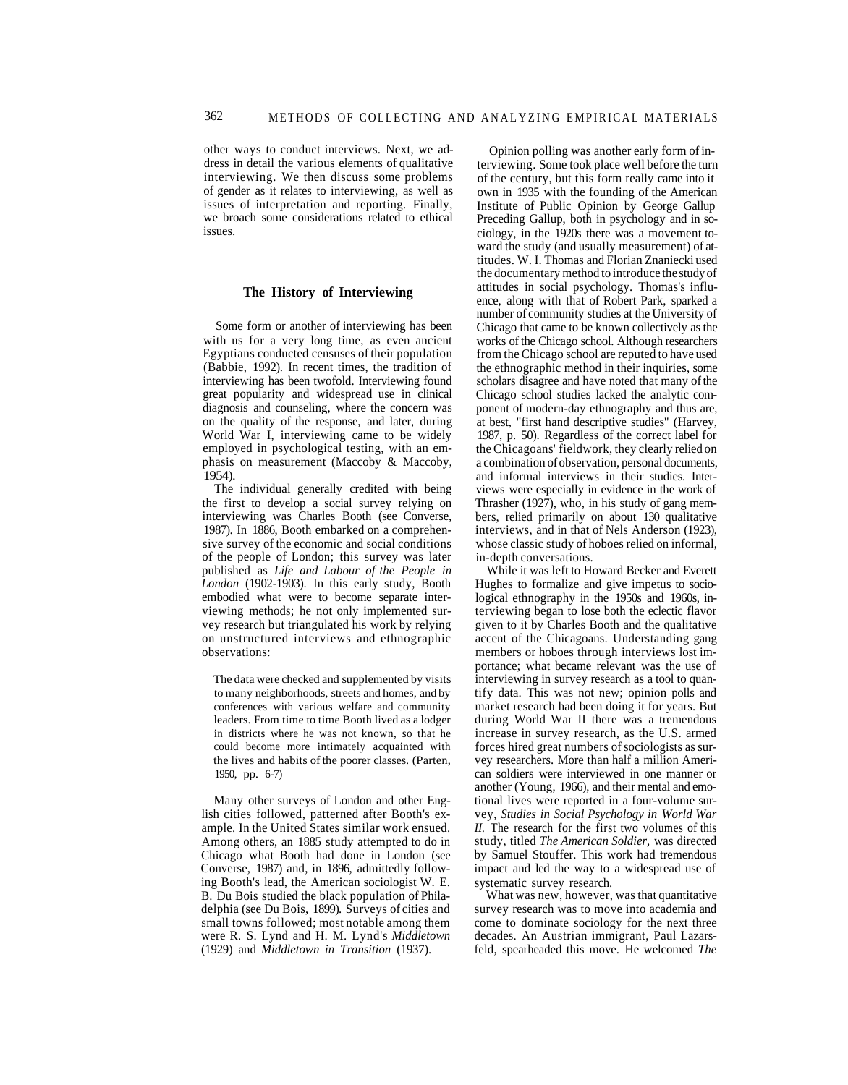other ways to conduct interviews. Next, we address in detail the various elements of qualitative interviewing. We then discuss some problems of gender as it relates to interviewing, as well as issues of interpretation and reporting. Finally, we broach some considerations related to ethical issues.

## **The History of Interviewing**

Some form or another of interviewing has been with us for a very long time, as even ancient Egyptians conducted censuses of their population (Babbie, 1992). In recent times, the tradition of interviewing has been twofold. Interviewing found great popularity and widespread use in clinical diagnosis and counseling, where the concern was on the quality of the response, and later, during World War I, interviewing came to be widely employed in psychological testing, with an emphasis on measurement (Maccoby & Maccoby, 1954).

The individual generally credited with being the first to develop a social survey relying on interviewing was Charles Booth (see Converse, 1987). In 1886, Booth embarked on a comprehensive survey of the economic and social conditions of the people of London; this survey was later published as *Life and Labour of the People in London* (1902-1903). In this early study, Booth embodied what were to become separate interviewing methods; he not only implemented survey research but triangulated his work by relying on unstructured interviews and ethnographic observations:

The data were checked and supplemented by visits to many neighborhoods, streets and homes, and by conferences with various welfare and community leaders. From time to time Booth lived as a lodger in districts where he was not known, so that he could become more intimately acquainted with the lives and habits of the poorer classes. (Parten, 1950, pp. 6-7)

Many other surveys of London and other English cities followed, patterned after Booth's example. In the United States similar work ensued. Among others, an 1885 study attempted to do in Chicago what Booth had done in London (see Converse, 1987) and, in 1896, admittedly following Booth's lead, the American sociologist W. E. B. Du Bois studied the black population of Philadelphia (see Du Bois, 1899). Surveys of cities and small towns followed; most notable among them were R. S. Lynd and H. M. Lynd's *Middletown* (1929) and *Middletown in Transition* (1937).

Opinion polling was another early form of interviewing. Some took place well before the turn of the century, but this form really came into it own in 1935 with the founding of the American Institute of Public Opinion by George Gallup Preceding Gallup, both in psychology and in sociology, in the 1920s there was a movement toward the study (and usually measurement) of attitudes. W. I. Thomas and Florian Znaniecki used the documentary method to introduce the study of attitudes in social psychology. Thomas's influence, along with that of Robert Park, sparked a number of community studies at the University of Chicago that came to be known collectively as the works of the Chicago school. Although researchers from the Chicago school are reputed to have used the ethnographic method in their inquiries, some scholars disagree and have noted that many of the Chicago school studies lacked the analytic component of modern-day ethnography and thus are, at best, "first hand descriptive studies" (Harvey, 1987, p. 50). Regardless of the correct label for the Chicagoans' fieldwork, they clearly relied on a combination of observation, personal documents, and informal interviews in their studies. Interviews were especially in evidence in the work of Thrasher (1927), who, in his study of gang members, relied primarily on about 130 qualitative interviews, and in that of Nels Anderson (1923), whose classic study of hoboes relied on informal, in-depth conversations.

While it was left to Howard Becker and Everett Hughes to formalize and give impetus to sociological ethnography in the 1950s and 1960s, interviewing began to lose both the eclectic flavor given to it by Charles Booth and the qualitative accent of the Chicagoans. Understanding gang members or hoboes through interviews lost importance; what became relevant was the use of interviewing in survey research as a tool to quantify data. This was not new; opinion polls and market research had been doing it for years. But during World War II there was a tremendous increase in survey research, as the U.S. armed forces hired great numbers of sociologists as survey researchers. More than half a million American soldiers were interviewed in one manner or another (Young, 1966), and their mental and emotional lives were reported in a four-volume survey, *Studies in Social Psychology in World War II.* The research for the first two volumes of this study, titled *The American Soldier,* was directed by Samuel Stouffer. This work had tremendous impact and led the way to a widespread use of systematic survey research.

What was new, however, was that quantitative survey research was to move into academia and come to dominate sociology for the next three decades. An Austrian immigrant, Paul Lazarsfeld, spearheaded this move. He welcomed *The*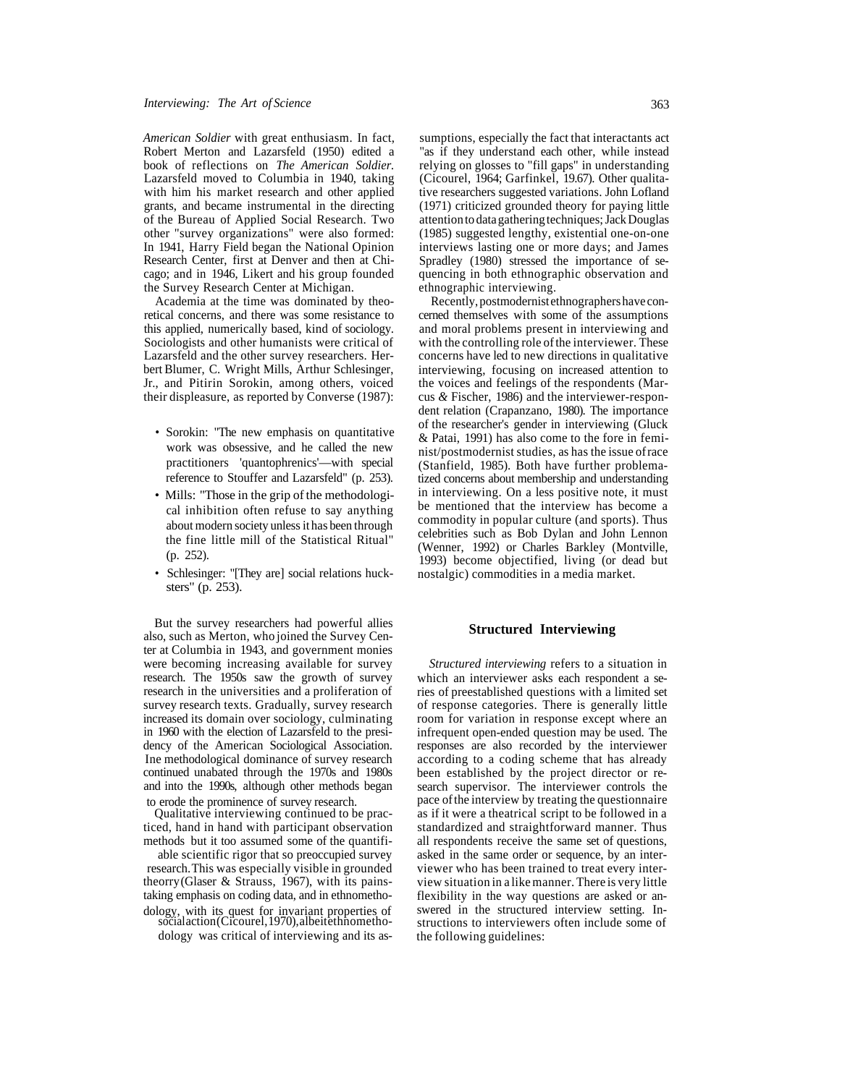*American Soldier* with great enthusiasm. In fact, Robert Merton and Lazarsfeld (1950) edited a book of reflections on *The American Soldier.* Lazarsfeld moved to Columbia in 1940, taking with him his market research and other applied grants, and became instrumental in the directing of the Bureau of Applied Social Research. Two other "survey organizations" were also formed: In 1941, Harry Field began the National Opinion Research Center, first at Denver and then at Chicago; and in 1946, Likert and his group founded the Survey Research Center at Michigan.

Academia at the time was dominated by theoretical concerns, and there was some resistance to this applied, numerically based, kind of sociology. Sociologists and other humanists were critical of Lazarsfeld and the other survey researchers. Herbert Blumer, C. Wright Mills, Arthur Schlesinger, Jr., and Pitirin Sorokin, among others, voiced their displeasure, as reported by Converse (1987):

- Sorokin: "The new emphasis on quantitative work was obsessive, and he called the new practitioners 'quantophrenics'—with special reference to Stouffer and Lazarsfeld" (p. 253).
- Mills: "Those in the grip of the methodological inhibition often refuse to say anything about modern society unless it has been through the fine little mill of the Statistical Ritual" (p. 252).
- Schlesinger: "[They are] social relations hucksters" (p. 253).

But the survey researchers had powerful allies also, such as Merton, who joined the Survey Center at Columbia in 1943, and government monies were becoming increasing available for survey research. The 1950s saw the growth of survey research in the universities and a proliferation of survey research texts. Gradually, survey research increased its domain over sociology, culminating in 1960 with the election of Lazarsfeld to the presidency of the American Sociological Association. Ine methodological dominance of survey research continued unabated through the 1970s and 1980s and into the 1990s, although other methods began

to erode the prominence of survey research. Qualitative interviewing continued to be practiced, hand in hand with participant observation methods but it too assumed some of the quantifi-

able scientific rigor that so preoccupied survey research. This was especially visible in grounded theorry (Glaser & Strauss, 1967), with its painstaking emphasis on coding data, and in ethnometho-

dology, with its quest for invariant properties of social action (Cicourel, 1970), albeit ethnomethodology was critical of interviewing and its as-

sumptions, especially the fact that interactants act "as if they understand each other, while instead relying on glosses to "fill gaps" in understanding (Cicourel, 1964; Garfinkel, 19.67). Other qualitative researchers suggested variations. John Lofland (1971) criticized grounded theory for paying little attention to data gathering techniques; Jack Douglas (1985) suggested lengthy, existential one-on-one interviews lasting one or more days; and James Spradley (1980) stressed the importance of sequencing in both ethnographic observation and ethnographic interviewing.

Recently, postmodernist ethnographers have concerned themselves with some of the assumptions and moral problems present in interviewing and with the controlling role of the interviewer. These concerns have led to new directions in qualitative interviewing, focusing on increased attention to the voices and feelings of the respondents (Marcus *&* Fischer, 1986) and the interviewer-respondent relation (Crapanzano, 1980). The importance of the researcher's gender in interviewing (Gluck & Patai, 1991) has also come to the fore in feminist/postmodernist studies, as has the issue of race (Stanfield, 1985). Both have further problematized concerns about membership and understanding in interviewing. On a less positive note, it must be mentioned that the interview has become a commodity in popular culture (and sports). Thus celebrities such as Bob Dylan and John Lennon (Wenner, 1992) or Charles Barkley (Montville, 1993) become objectified, living (or dead but nostalgic) commodities in a media market.

## **Structured Interviewing**

*Structured interviewing* refers to a situation in which an interviewer asks each respondent a series of preestablished questions with a limited set of response categories. There is generally little room for variation in response except where an infrequent open-ended question may be used. The responses are also recorded by the interviewer according to a coding scheme that has already been established by the project director or research supervisor. The interviewer controls the pace of the interview by treating the questionnaire as if it were a theatrical script to be followed in a standardized and straightforward manner. Thus all respondents receive the same set of questions, asked in the same order or sequence, by an interviewer who has been trained to treat every interview situation in a like manner. There is very little flexibility in the way questions are asked or answered in the structured interview setting. Instructions to interviewers often include some of the following guidelines: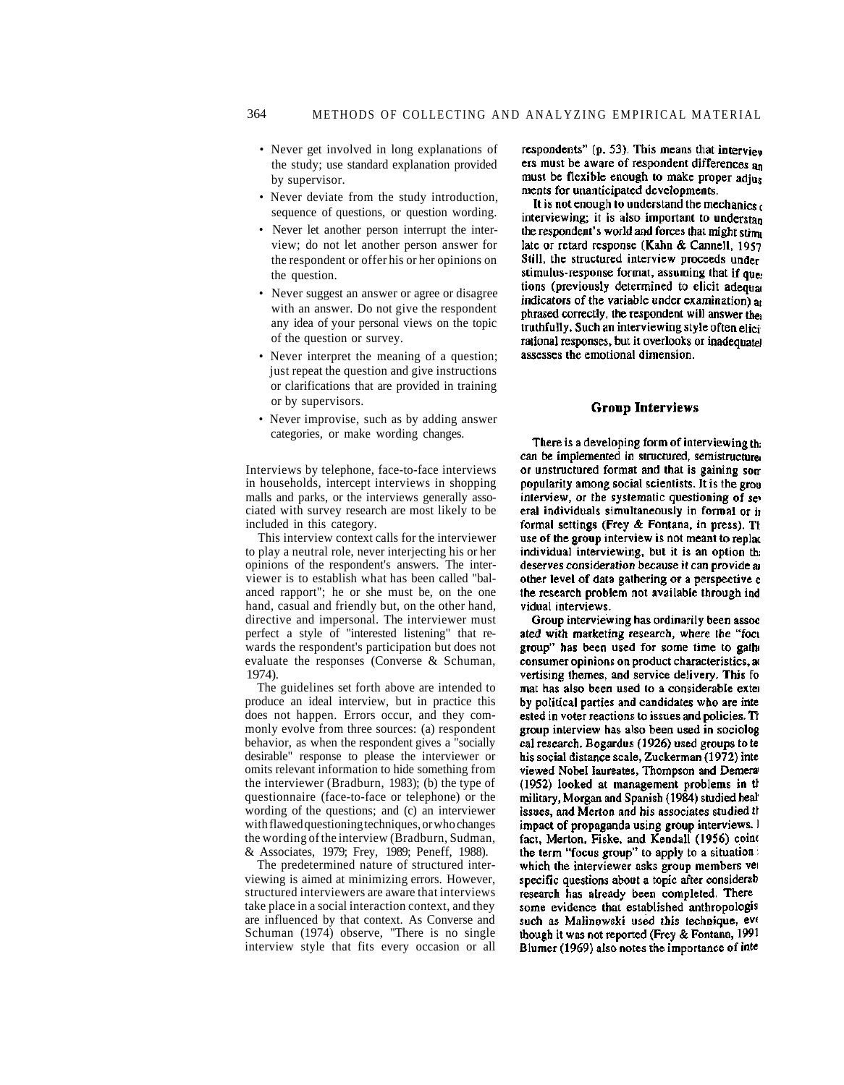- Never get involved in long explanations of the study; use standard explanation provided by supervisor.
- Never deviate from the study introduction, sequence of questions, or question wording.
- Never let another person interrupt the interview; do not let another person answer for the respondent or offer his or her opinions on the question.
- Never suggest an answer or agree or disagree with an answer. Do not give the respondent any idea of your personal views on the topic of the question or survey.
- Never interpret the meaning of a question; just repeat the question and give instructions or clarifications that are provided in training or by supervisors.
- Never improvise, such as by adding answer categories, or make wording changes.

Interviews by telephone, face-to-face interviews in households, intercept interviews in shopping malls and parks, or the interviews generally associated with survey research are most likely to be included in this category.

This interview context calls for the interviewer to play a neutral role, never interjecting his or her opinions of the respondent's answers. The interviewer is to establish what has been called "balanced rapport"; he or she must be, on the one hand, casual and friendly but, on the other hand, directive and impersonal. The interviewer must perfect a style of "interested listening" that rewards the respondent's participation but does not evaluate the responses (Converse & Schuman, 1974).

The guidelines set forth above are intended to produce an ideal interview, but in practice this does not happen. Errors occur, and they commonly evolve from three sources: (a) respondent behavior, as when the respondent gives a "socially desirable" response to please the interviewer or omits relevant information to hide something from the interviewer (Bradburn, 1983); (b) the type of questionnaire (face-to-face or telephone) or the wording of the questions; and (c) an interviewer with flawed questioning techniques, or who changes the wording of the interview (Bradburn, Sudman, & Associates, 1979; Frey, 1989; Peneff, 1988).

The predetermined nature of structured interviewing is aimed at minimizing errors. However, structured interviewers are aware that interviews take place in a social interaction context, and they are influenced by that context. As Converse and Schuman (1974) observe, "There is no single interview style that fits every occasion or all respondents" (p. 53). This means that interview ers must be aware of respondent differences an must be flexible enough to make proper adjus ments for unanticipated developments.

It is not enough to understand the mechanics  $\epsilon$ interviewing; it is also important to understan the respondent's world and forces that might stime late or retard response (Kahn & Cannell, 1957 Still, the structured interview proceeds under stimulus-response format, assuming that if que: tions (previously determined to elicit adequat indicators of the variable under examination) at phrased correctly, the respondent will answer the truthfully. Such an interviewing style often elicirational responses, but it overlooks or inadequatel assesses the emotional dimension.

## **Group Interviews**

There is a developing form of interviewing the can be implemented in structured, semistructured or unstructured format and that is gaining som popularity among social scientists. It is the grou interview, or the systematic questioning of sev eral individuals simultaneously in formal or in formal settings (Frey & Fontana, in press). Th use of the group interview is not meant to replace individual interviewing, but it is an option the deserves consideration because it can provide a other level of data gathering or a perspective c the research problem not available through ind vidual interviews.

Group interviewing has ordinarily been assoc ated with marketing research, where the "focugroup" has been used for some time to gathe consumer opinions on product characteristics, a vertising themes, and service delivery. This fo mat has also been used to a considerable exter by political parties and candidates who are inteested in voter reactions to issues and policies. Th group interview has also been used in sociolog cal research. Bogardus (1926) used groups to te his social distance scale, Zuckerman (1972) inte viewed Nobel laureates, Thompson and Demerat (1952) looked at management problems in the military, Morgan and Spanish (1984) studied heal issues, and Merton and his associates studied th impact of propaganda using group interviews. I fact, Merton, Fiske, and Kendall (1956) coint the term "focus group" to apply to a situation: which the interviewer asks group members ver specific questions about a topic after considerab research has already been completed. There some evidence that established anthropologis such as Malinowski used this technique, evt though it was not reported (Frey & Fontana, 1991 Blumer (1969) also notes the importance of inte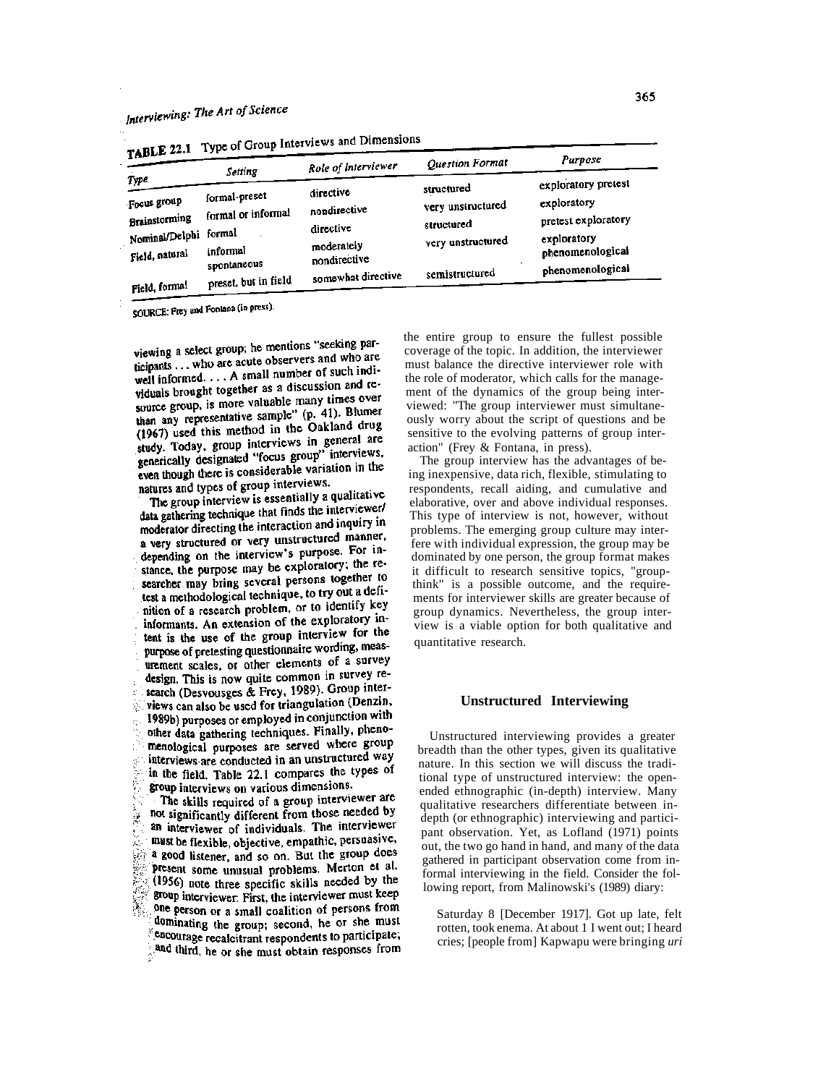# Interviewing: The Art of Science

|                                                                                 | TABLE $22.1$ Type of Oroup and the                             |                                                                      |                                                                    |                                                                                                                  |
|---------------------------------------------------------------------------------|----------------------------------------------------------------|----------------------------------------------------------------------|--------------------------------------------------------------------|------------------------------------------------------------------------------------------------------------------|
|                                                                                 | Setting                                                        | Role of Interviewer                                                  | Question Format                                                    | Purpose                                                                                                          |
| Type<br>Focus group<br>Brainstorming<br>Nominal/Delphi formal<br>Field, natural | formal-preset<br>formal or informal<br>informal<br>spontaneous | directive<br>nondirective<br>directive<br>moderately<br>nondirective | structured<br>very unstructured<br>structured<br>very unstructured | exploratory pretest<br>exploratory<br>pretest exploratory<br>exploratory<br>phenomenological<br>phenomenological |
| Field, formal                                                                   | preset, but in field                                           | somewhat directive                                                   | semistructured                                                     |                                                                                                                  |

 $\sim$  of Group Interviews and Dimensions

SOURCE: Frey and Fontana (in press).

viewing a select group; he mentions "seeking parviewing a select group; ne members and who are<br>ticipants ... who are acute observers and who are ticipants ... who are acute observers and weh indi-<br>well informed.... A small number of such and rewell informed.... A small number of such and re-<br>viduals brought together as a discussion and reviduals brought together as a discussion and times over<br>source group, is more valuable many times over than any representative sample" (p. 41). Blumer than any representative sample<br>(1967) used this method in the Oakland drug<br>the sample in centeral are study. Today, group interviews in general are study. Today, group interviews in genericially designated "focus group" interviews, generically designated Tocus group interviewing<br>even though there is considerable variation in the even though there is considerable.

tures and types of group much views.<br>The group interview is essentially a qualitative The group interview is essentially a quality data gathering technique that finds the interviewer/ moderator directing the interaction and inquiry in a very structured or very unstructured manner,<br>a very structured or very unstructured manner, a very structured or very unstructured the depending on the interview's purpose. For independing on the interview s purpose.<br>stance, the purpose may be exploratory; the restatute, the purpose half of the searcher to test a methodological technique, to try out a definition of a research problem, or to identify key informants. An extension of the exploratory intent is the use of the group interview for the purpose of pretesting questionnaire wording, measgrapose of preasants questions are survey design. This is now quite common in survey research (Desvousges & Frey, 1989). Group interviews can also be used for triangulation (Denzin, 1989b) purposes or employed in conjunction with other data gathering techniques. Finally, phenomenological purposes are served where group interviews are conducted in an unstructured way in the field. Table 22.1 compares the types of group interviews on various dimensions.

The skills required of a group interviewer are not significantly different from those needed by an interviewer of individuals. The interviewer must be flexible, objective, empathic, persuasive, a good listener, and so on. But the group does present some unusual problems. Merton et al. (1956) note three specific skills needed by the group interviewer: First, the interviewer must keep one person or a small coalition of persons from dominating the group; second, he or she must cacourage recalcitrant respondents to participate; and third, he or she must obtain responses from

the entire group to ensure the fullest possible coverage of the topic. In addition, the interviewer must balance the directive interviewer role with the role of moderator, which calls for the management of the dynamics of the group being interviewed: "The group interviewer must simultaneously worry about the script of questions and be sensitive to the evolving patterns of group interaction" (Frey & Fontana, in press).

The group interview has the advantages of being inexpensive, data rich, flexible, stimulating to respondents, recall aiding, and cumulative and elaborative, over and above individual responses. This type of interview is not, however, without problems. The emerging group culture may interfere with individual expression, the group may be dominated by one person, the group format makes it difficult to research sensitive topics, "groupthink" is a possible outcome, and the requirements for interviewer skills are greater because of group dynamics. Nevertheless, the group interview is a viable option for both qualitative and quantitative research.

## **Unstructured Interviewing**

Unstructured interviewing provides a greater breadth than the other types, given its qualitative nature. In this section we will discuss the traditional type of unstructured interview: the openended ethnographic (in-depth) interview. Many qualitative researchers differentiate between indepth (or ethnographic) interviewing and participant observation. Yet, as Lofland (1971) points out, the two go hand in hand, and many of the data gathered in participant observation come from informal interviewing in the field. Consider the following report, from Malinowski's (1989) diary:

Saturday 8 [December 1917]. Got up late, felt rotten, took enema. At about 1 I went out; I heard cries; [people from] Kapwapu were bringing *uri*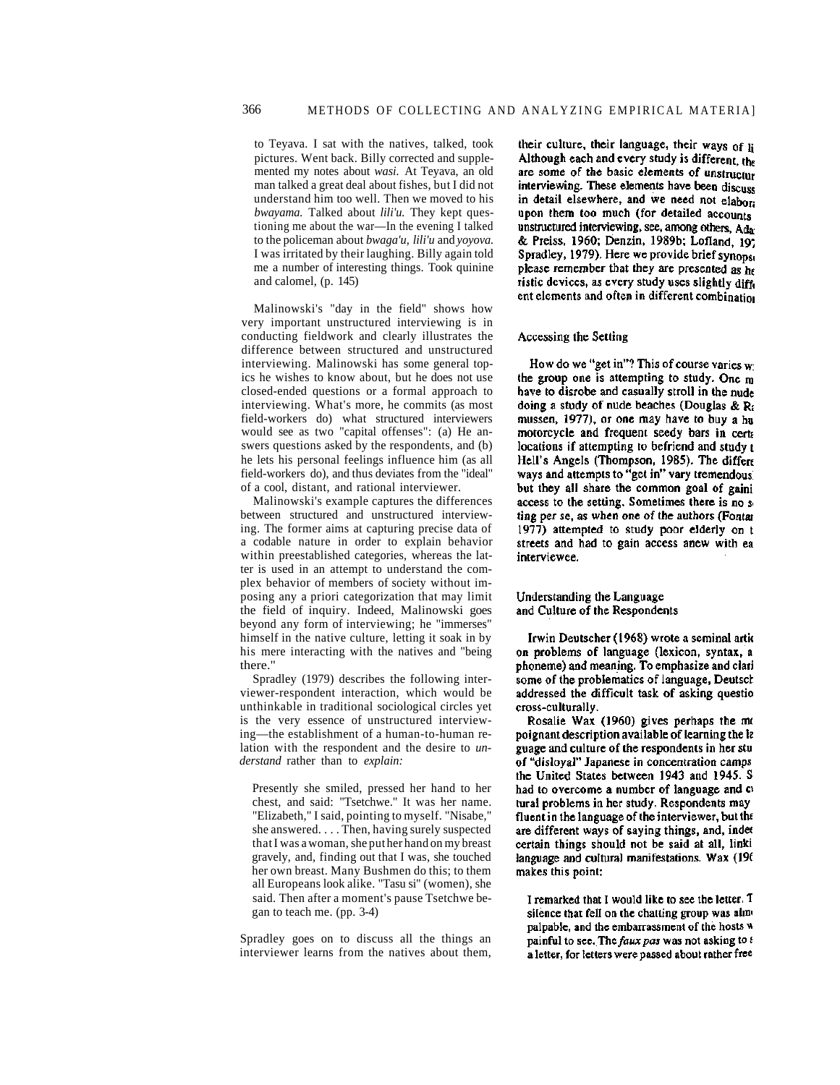to Teyava. I sat with the natives, talked, took pictures. Went back. Billy corrected and supplemented my notes about *wasi.* At Teyava, an old man talked a great deal about fishes, but I did not understand him too well. Then we moved to his *bwayama.* Talked about *lili'u.* They kept questioning me about the war—In the evening I talked to the policeman about *bwaga'u, lili'u* and *yoyova.* I was irritated by their laughing. Billy again told me a number of interesting things. Took quinine and calomel, (p. 145)

Malinowski's "day in the field" shows how very important unstructured interviewing is in conducting fieldwork and clearly illustrates the difference between structured and unstructured interviewing. Malinowski has some general topics he wishes to know about, but he does not use closed-ended questions or a formal approach to interviewing. What's more, he commits (as most field-workers do) what structured interviewers would see as two "capital offenses": (a) He answers questions asked by the respondents, and (b) he lets his personal feelings influence him (as all field-workers do), and thus deviates from the "ideal" of a cool, distant, and rational interviewer.

Malinowski's example captures the differences between structured and unstructured interviewing. The former aims at capturing precise data of a codable nature in order to explain behavior within preestablished categories, whereas the latter is used in an attempt to understand the complex behavior of members of society without imposing any a priori categorization that may limit the field of inquiry. Indeed, Malinowski goes beyond any form of interviewing; he "immerses" himself in the native culture, letting it soak in by his mere interacting with the natives and "being there."

Spradley (1979) describes the following interviewer-respondent interaction, which would be unthinkable in traditional sociological circles yet is the very essence of unstructured interviewing—the establishment of a human-to-human relation with the respondent and the desire to *understand* rather than to *explain:*

Presently she smiled, pressed her hand to her chest, and said: "Tsetchwe." It was her name. "Elizabeth," I said, pointing to myself. "Nisabe," she answered. . . . Then, having surely suspected that I was a woman, she put her hand on my breast gravely, and, finding out that I was, she touched her own breast. Many Bushmen do this; to them all Europeans look alike. "Tasu si" (women), she said. Then after a moment's pause Tsetchwe began to teach me. (pp. 3-4)

Spradley goes on to discuss all the things an interviewer learns from the natives about them, their culture, their language, their ways of li Although each and every study is different, the are some of the basic elements of unstructur interviewing. These elements have been discuss in detail elsewhere, and we need not elabor; upon them too much (for detailed accounts) unstructured interviewing, see, among others, Ada-& Preiss, 1960; Denzin, 1989b; Lofland, 197 Spradley, 1979). Here we provide brief synopsi please remember that they are presented as he ristic devices, as every study uses slightly diff. ent elements and often in different combination

## **Accessing the Setting**

How do we "get in"? This of course varies  $w_1$ the group one is attempting to study. One m have to disrobe and casually stroll in the nude doing a study of nude beaches (Douglas &  $R_i$ mussen, 1977), or one may have to buy a hu motorcycle and frequent seedy bars in certa locations if attempting to befriend and study t Hell's Angels (Thompson, 1985). The differe ways and attempts to "get in" vary tremendous. but they all share the common goal of gaini access to the setting. Sometimes there is no s ting per se, as when one of the authors (Fontar 1977) attempted to study poor elderly on t streets and had to gain access anew with ea interviewee.

## Understanding the Language and Culture of the Respondents

Irwin Deutscher (1968) wrote a seminal artic on problems of language (lexicon, syntax, a phoneme) and meaning. To emphasize and clari some of the problematics of language, Deutsch addressed the difficult task of asking questio cross-culturally.

Rosalie Wax (1960) gives perhaps the mo poignant description available of learning the la guage and culture of the respondents in her stu of "disloyal" Japanese in concentration camps the United States between 1943 and 1945. S had to overcome a number of language and c tural problems in her study. Respondents may fluent in the language of the interviewer, but the are different ways of saying things, and, index certain things should not be said at all, linki language and cultural manifestations. Wax (196) makes this point:

I remarked that I would like to see the letter. T silence that fell on the chatting group was almo palpable, and the embarrassment of the hosts w painful to see. The faux pas was not asking to ! a letter, for letters were passed about rather free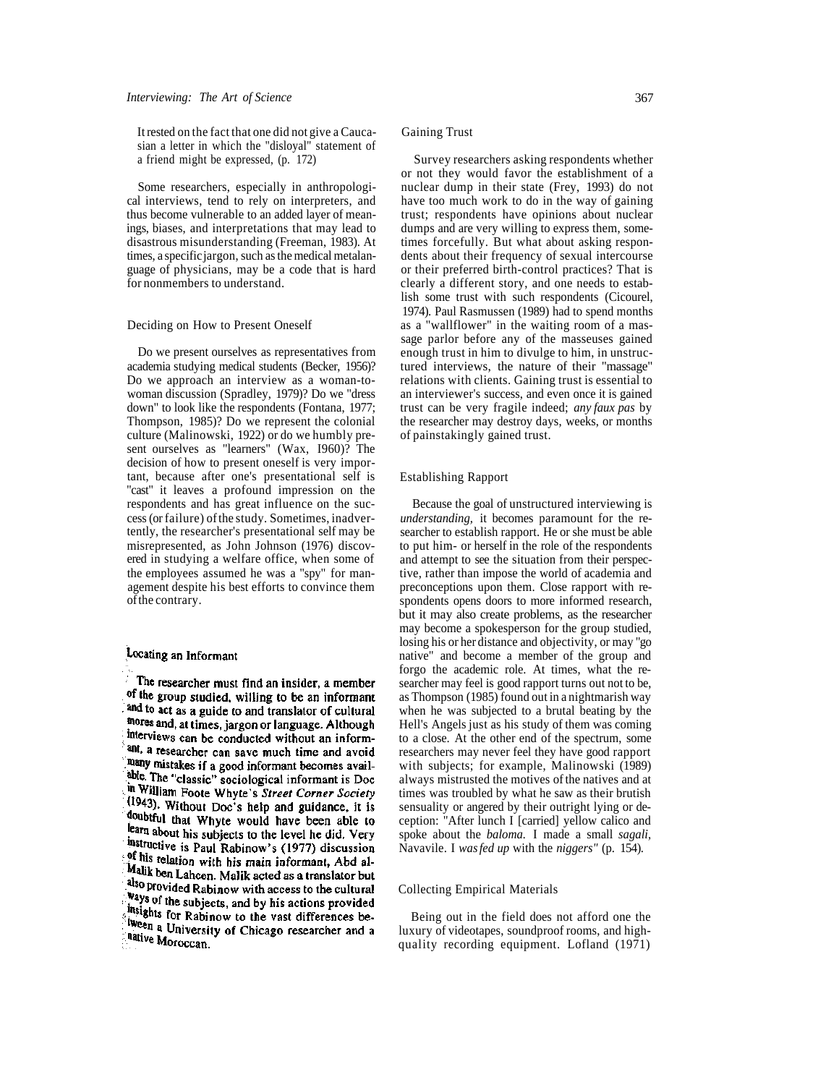It rested on the fact that one did not give a Caucasian a letter in which the "disloyal" statement of a friend might be expressed, (p. 172)

Some researchers, especially in anthropological interviews, tend to rely on interpreters, and thus become vulnerable to an added layer of meanings, biases, and interpretations that may lead to disastrous misunderstanding (Freeman, 1983). At times, a specific jargon, such as the medical metalanguage of physicians, may be a code that is hard for nonmembers to understand.

## Deciding on How to Present Oneself

Do we present ourselves as representatives from academia studying medical students (Becker, 1956)? Do we approach an interview as a woman-towoman discussion (Spradley, 1979)? Do we "dress down" to look like the respondents (Fontana, 1977; Thompson, 1985)? Do we represent the colonial culture (Malinowski, 1922) or do we humbly present ourselves as "learners" (Wax, I960)? The decision of how to present oneself is very important, because after one's presentational self is "cast" it leaves a profound impression on the respondents and has great influence on the success (or failure) of the study. Sometimes, inadvertently, the researcher's presentational self may be misrepresented, as John Johnson (1976) discovered in studying a welfare office, when some of the employees assumed he was a "spy" for management despite his best efforts to convince them of the contrary.

## Locating an Informant

The researcher must find an insider, a member of the group studied, willing to be an informant and to act as a guide to and translator of cultural mores and, at times, jargon or language. Although interviews can be conducted without an informant, a researcher can save much time and avoid many mistakes if a good informant becomes available. The "classic" sociological informant is Doc in William Foote Whyte's Street Corner Society (1943). Without Doc's help and guidance, it is doubtful that Whyte would have been able to learn about his subjects to the level he did. Very instructive is Paul Rabinow's (1977) discussion of his relation with his main informant, Abd al-Malik ben Lahcen. Malik acted as a translator but<br>also beni also provided Rabinow with access to the cultural Ways of the subjects, and by his actions provided<br>lisiahts for the subjects, and by his actions provided insights for Rabinow to the vast differences bethree a University of Chicago researcher and a<br>three a University of Chicago researcher and a native Moroccan.

#### Gaining Trust

Survey researchers asking respondents whether or not they would favor the establishment of a nuclear dump in their state (Frey, 1993) do not have too much work to do in the way of gaining trust; respondents have opinions about nuclear dumps and are very willing to express them, sometimes forcefully. But what about asking respondents about their frequency of sexual intercourse or their preferred birth-control practices? That is clearly a different story, and one needs to establish some trust with such respondents (Cicourel, 1974). Paul Rasmussen (1989) had to spend months as a "wallflower" in the waiting room of a massage parlor before any of the masseuses gained enough trust in him to divulge to him, in unstructured interviews, the nature of their "massage" relations with clients. Gaining trust is essential to an interviewer's success, and even once it is gained trust can be very fragile indeed; *any faux pas* by the researcher may destroy days, weeks, or months of painstakingly gained trust.

## Establishing Rapport

Because the goal of unstructured interviewing is *understanding,* it becomes paramount for the researcher to establish rapport. He or she must be able to put him- or herself in the role of the respondents and attempt to see the situation from their perspective, rather than impose the world of academia and preconceptions upon them. Close rapport with respondents opens doors to more informed research, but it may also create problems, as the researcher may become a spokesperson for the group studied, losing his or her distance and objectivity, or may "go native" and become a member of the group and forgo the academic role. At times, what the researcher may feel is good rapport turns out not to be, as Thompson (1985) found out in a nightmarish way when he was subjected to a brutal beating by the Hell's Angels just as his study of them was coming to a close. At the other end of the spectrum, some researchers may never feel they have good rapport with subjects; for example, Malinowski (1989) always mistrusted the motives of the natives and at times was troubled by what he saw as their brutish sensuality or angered by their outright lying or deception: "After lunch I [carried] yellow calico and spoke about the *baloma.* I made a small *sagali,* Navavile. I *was fed up* with the *niggers"* (p. 154).

## Collecting Empirical Materials

Being out in the field does not afford one the luxury of videotapes, soundproof rooms, and highquality recording equipment. Lofland (1971)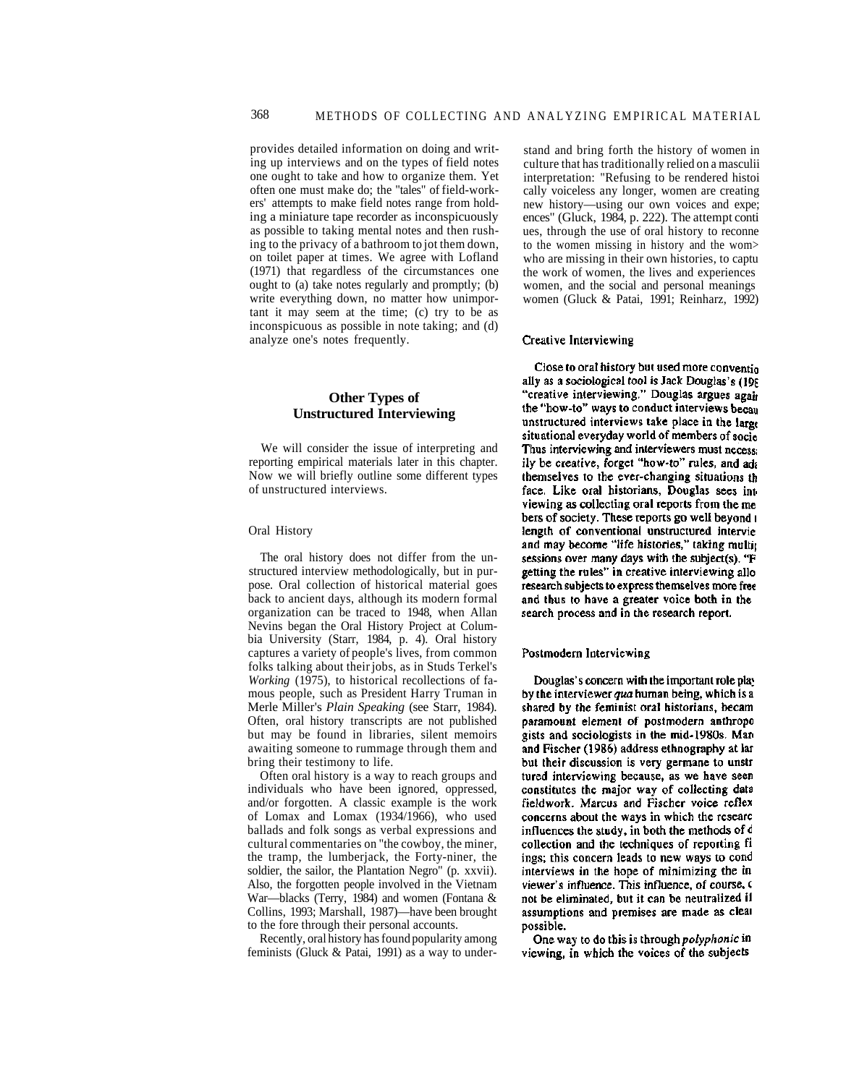provides detailed information on doing and writing up interviews and on the types of field notes one ought to take and how to organize them. Yet often one must make do; the "tales" of field-workers' attempts to make field notes range from holding a miniature tape recorder as inconspicuously as possible to taking mental notes and then rushing to the privacy of a bathroom to jot them down, on toilet paper at times. We agree with Lofland (1971) that regardless of the circumstances one ought to (a) take notes regularly and promptly; (b) write everything down, no matter how unimportant it may seem at the time; (c) try to be as inconspicuous as possible in note taking; and (d) analyze one's notes frequently.

## **Other Types of Unstructured Interviewing**

We will consider the issue of interpreting and reporting empirical materials later in this chapter. Now we will briefly outline some different types of unstructured interviews.

#### Oral History

The oral history does not differ from the unstructured interview methodologically, but in purpose. Oral collection of historical material goes back to ancient days, although its modern formal organization can be traced to 1948, when Allan Nevins began the Oral History Project at Columbia University (Starr, 1984, p. 4). Oral history captures a variety of people's lives, from common folks talking about their jobs, as in Studs Terkel's *Working* (1975), to historical recollections of famous people, such as President Harry Truman in Merle Miller's *Plain Speaking* (see Starr, 1984). Often, oral history transcripts are not published but may be found in libraries, silent memoirs awaiting someone to rummage through them and bring their testimony to life.

Often oral history is a way to reach groups and individuals who have been ignored, oppressed, and/or forgotten. A classic example is the work of Lomax and Lomax (1934/1966), who used ballads and folk songs as verbal expressions and cultural commentaries on "the cowboy, the miner, the tramp, the lumberjack, the Forty-niner, the soldier, the sailor, the Plantation Negro" (p. xxvii). Also, the forgotten people involved in the Vietnam War—blacks (Terry, 1984) and women (Fontana & Collins, 1993; Marshall, 1987)—have been brought to the fore through their personal accounts.

Recently, oral history has found popularity among feminists (Gluck & Patai, 1991) as a way to understand and bring forth the history of women in culture that has traditionally relied on a masculii interpretation: "Refusing to be rendered histoi cally voiceless any longer, women are creating new history—using our own voices and expe; ences" (Gluck, 1984, p. 222). The attempt conti ues, through the use of oral history to reconne to the women missing in history and the wom> who are missing in their own histories, to captu the work of women, the lives and experiences women, and the social and personal meanings women (Gluck & Patai, 1991; Reinharz, 1992)

## Creative Interviewing

Close to oral history but used more conventio ally as a sociological tool is Jack Douglas's (198 "creative interviewing." Douglas argues again the "how-to" ways to conduct interviews becau unstructured interviews take place in the large situational everyday world of members of socie Thus interviewing and interviewers must necess. ily be creative, forget "how-to" rules, and ad: themselves to the ever-changing situations the face. Like oral historians, Douglas sees intviewing as collecting oral reports from the me bers of society. These reports go well beyond t length of conventional unstructured intervie and may become "life histories," taking multip sessions over many days with the subject(s). "F getting the rules" in creative interviewing allo research subjects to express themselves more free and thus to have a greater voice both in the search process and in the research report.

#### Postmodern Interviewing

Douglas's concern with the important role play by the interviewer qua human being, which is a shared by the feminist oral historians, becam paramount element of postmodern anthropo gists and sociologists in the mid-1980s. Man and Fischer (1986) address ethnography at lar but their discussion is very germane to unstr tured interviewing because, as we have seen constitutes the major way of collecting data fieldwork. Marcus and Fischer voice reflex concerns about the ways in which the researc influences the study, in both the methods of d collection and the techniques of reporting fi ings; this concern leads to new ways to cond interviews in the hope of minimizing the in viewer's influence. This influence, of course, C not be eliminated, but it can be neutralized if assumptions and premises are made as clear possible.

One way to do this is through *polyphonic* in viewing, in which the voices of the subjects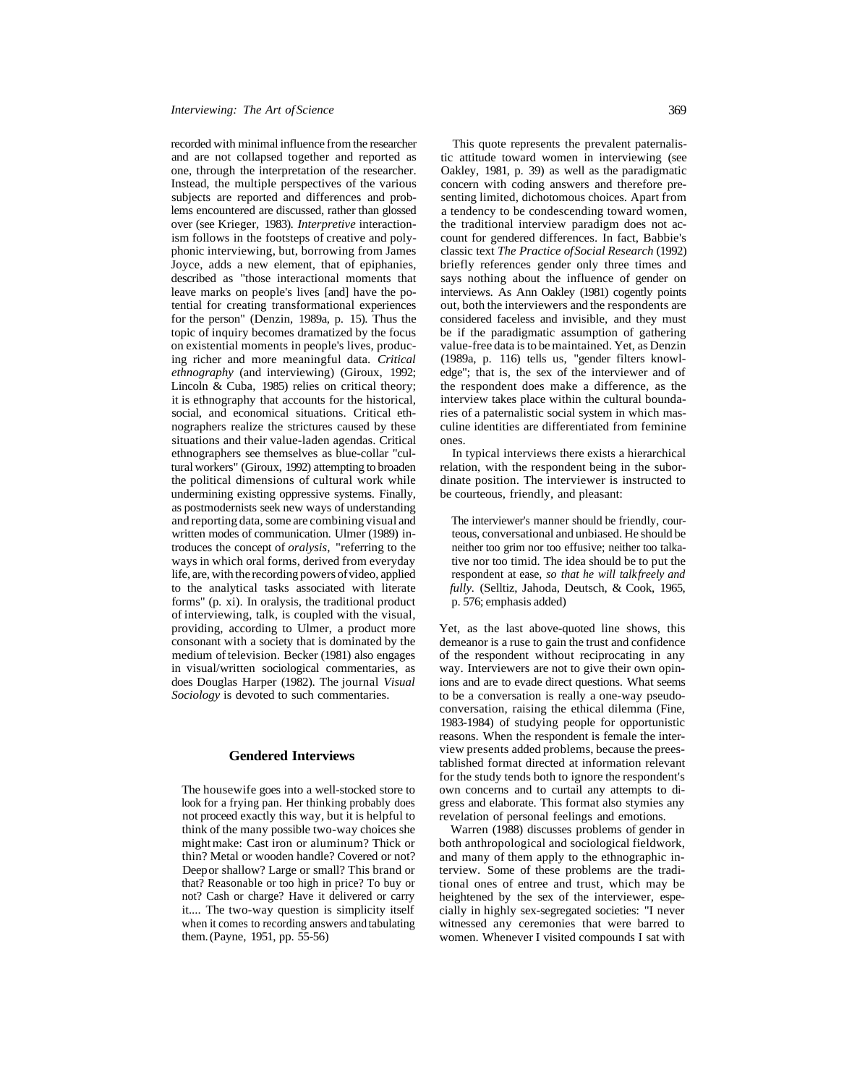recorded with minimal influence from the researcher and are not collapsed together and reported as one, through the interpretation of the researcher. Instead, the multiple perspectives of the various subjects are reported and differences and problems encountered are discussed, rather than glossed over (see Krieger, 1983). *Interpretive* interactionism follows in the footsteps of creative and polyphonic interviewing, but, borrowing from James Joyce, adds a new element, that of epiphanies, described as "those interactional moments that leave marks on people's lives [and] have the potential for creating transformational experiences for the person" (Denzin, 1989a, p. 15). Thus the topic of inquiry becomes dramatized by the focus on existential moments in people's lives, producing richer and more meaningful data. *Critical ethnography* (and interviewing) (Giroux, 1992; Lincoln & Cuba, 1985) relies on critical theory; it is ethnography that accounts for the historical, social, and economical situations. Critical ethnographers realize the strictures caused by these situations and their value-laden agendas. Critical ethnographers see themselves as blue-collar "cultural workers" (Giroux, 1992) attempting to broaden the political dimensions of cultural work while undermining existing oppressive systems. Finally, as postmodernists seek new ways of understanding and reporting data, some are combining visual and written modes of communication. Ulmer (1989) introduces the concept of *oralysis,* "referring to the ways in which oral forms, derived from everyday life, are, with the recording powers of video, applied to the analytical tasks associated with literate forms" (p. xi). In oralysis, the traditional product of interviewing, talk, is coupled with the visual, providing, according to Ulmer, a product more consonant with a society that is dominated by the medium of television. Becker (1981) also engages in visual/written sociological commentaries, as does Douglas Harper (1982). The journal *Visual Sociology* is devoted to such commentaries.

## **Gendered Interviews**

The housewife goes into a well-stocked store to look for a frying pan. Her thinking probably does not proceed exactly this way, but it is helpful to think of the many possible two-way choices she might make: Cast iron or aluminum? Thick or thin? Metal or wooden handle? Covered or not? Deep or shallow? Large or small? This brand or that? Reasonable or too high in price? To buy or not? Cash or charge? Have it delivered or carry it.... The two-way question is simplicity itself when it comes to recording answers and tabulating them. (Payne, 1951, pp. 55-56)

This quote represents the prevalent paternalistic attitude toward women in interviewing (see Oakley, 1981, p. 39) as well as the paradigmatic concern with coding answers and therefore presenting limited, dichotomous choices. Apart from a tendency to be condescending toward women, the traditional interview paradigm does not account for gendered differences. In fact, Babbie's classic text *The Practice of Social Research* (1992) briefly references gender only three times and says nothing about the influence of gender on interviews. As Ann Oakley (1981) cogently points out, both the interviewers and the respondents are considered faceless and invisible, and they must be if the paradigmatic assumption of gathering value-free data is to be maintained. Yet, as Denzin (1989a, p. 116) tells us, "gender filters knowledge"; that is, the sex of the interviewer and of the respondent does make a difference, as the interview takes place within the cultural boundaries of a paternalistic social system in which masculine identities are differentiated from feminine ones.

In typical interviews there exists a hierarchical relation, with the respondent being in the subordinate position. The interviewer is instructed to be courteous, friendly, and pleasant:

The interviewer's manner should be friendly, courteous, conversational and unbiased. He should be neither too grim nor too effusive; neither too talkative nor too timid. The idea should be to put the respondent at ease, *so that he will talk freely and fully.* (Selltiz, Jahoda, Deutsch, & Cook, 1965, p. 576; emphasis added)

Yet, as the last above-quoted line shows, this demeanor is a ruse to gain the trust and confidence of the respondent without reciprocating in any way. Interviewers are not to give their own opinions and are to evade direct questions. What seems to be a conversation is really a one-way pseudoconversation, raising the ethical dilemma (Fine, 1983-1984) of studying people for opportunistic reasons. When the respondent is female the interview presents added problems, because the preestablished format directed at information relevant for the study tends both to ignore the respondent's own concerns and to curtail any attempts to digress and elaborate. This format also stymies any revelation of personal feelings and emotions.

Warren (1988) discusses problems of gender in both anthropological and sociological fieldwork, and many of them apply to the ethnographic interview. Some of these problems are the traditional ones of entree and trust, which may be heightened by the sex of the interviewer, especially in highly sex-segregated societies: "I never witnessed any ceremonies that were barred to women. Whenever I visited compounds I sat with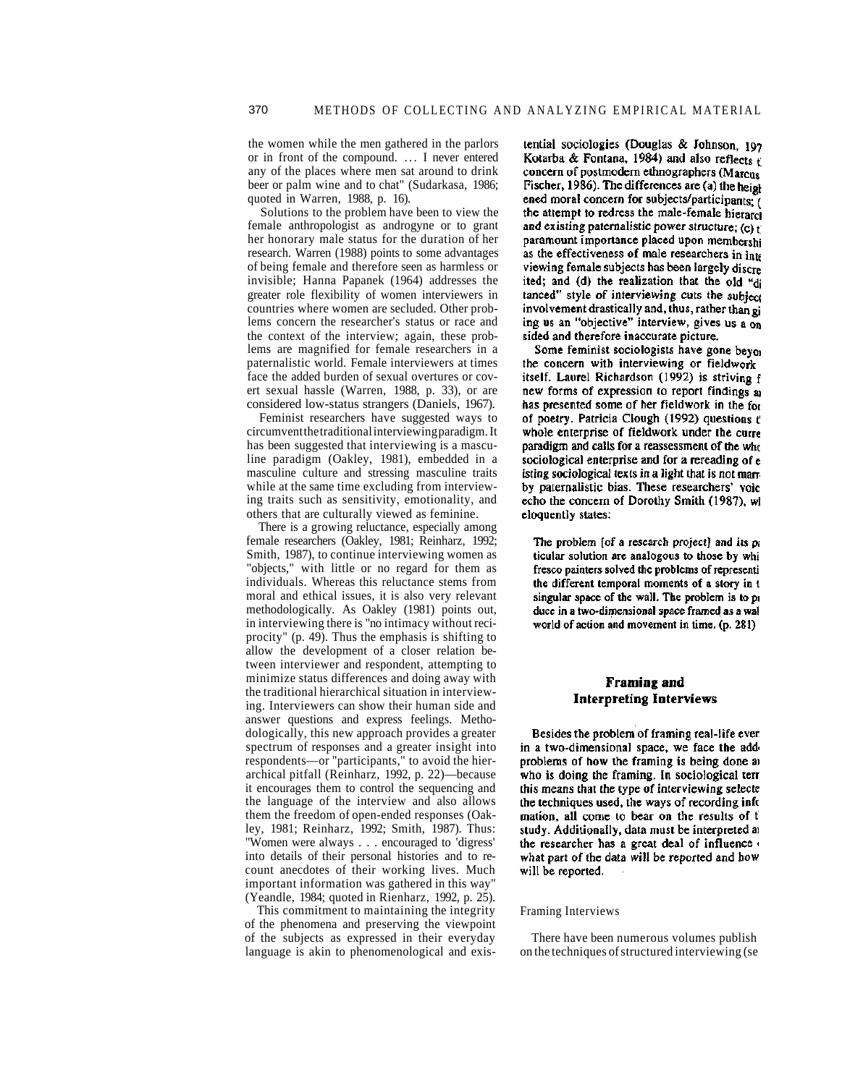the women while the men gathered in the parlors or in front of the compound. .. . I never entered any of the places where men sat around to drink beer or palm wine and to chat" (Sudarkasa, 1986; quoted in Warren, 1988, p. 16).

Solutions to the problem have been to view the female anthropologist as androgyne or to grant her honorary male status for the duration of her research. Warren (1988) points to some advantages of being female and therefore seen as harmless or invisible; Hanna Papanek (1964) addresses the greater role flexibility of women interviewers in countries where women are secluded. Other problems concern the researcher's status or race and the context of the interview; again, these problems are magnified for female researchers in a paternalistic world. Female interviewers at times face the added burden of sexual overtures or covert sexual hassle (Warren, 1988, p. 33), or are considered low-status strangers (Daniels, 1967).

Feminist researchers have suggested ways to circumvent the traditional interviewing paradigm. It has been suggested that interviewing is a masculine paradigm (Oakley, 1981), embedded in a masculine culture and stressing masculine traits while at the same time excluding from interviewing traits such as sensitivity, emotionality, and others that are culturally viewed as feminine.

There is a growing reluctance, especially among female researchers (Oakley, 1981; Reinharz, 1992; Smith, 1987), to continue interviewing women as "objects," with little or no regard for them as individuals. Whereas this reluctance stems from moral and ethical issues, it is also very relevant methodologically. As Oakley (1981) points out, in interviewing there is "no intimacy without reciprocity" (p. 49). Thus the emphasis is shifting to allow the development of a closer relation between interviewer and respondent, attempting to minimize status differences and doing away with the traditional hierarchical situation in interviewing. Interviewers can show their human side and answer questions and express feelings. Methodologically, this new approach provides a greater spectrum of responses and a greater insight into respondents—or "participants," to avoid the hierarchical pitfall (Reinharz, 1992, p. 22)—because it encourages them to control the sequencing and the language of the interview and also allows them the freedom of open-ended responses (Oakley, 1981; Reinharz, 1992; Smith, 1987). Thus: "Women were always . . . encouraged to 'digress' into details of their personal histories and to recount anecdotes of their working lives. Much important information was gathered in this way" (Yeandle, 1984; quoted in Rienharz, 1992, p. 25).

This commitment to maintaining the integrity of the phenomena and preserving the viewpoint of the subjects as expressed in their everyday language is akin to phenomenological and existential sociologies (Douglas & Johnson, 197 Kotarba & Fontana, 1984) and also reflects f concern of postmodern ethnographers (Marcus Fischer, 1986). The differences are (a) the heighened moral concern for subjects/participants; ( the attempt to redress the male-female hierarci and existing paternalistic power structure;  $(c)$  f paramount importance placed upon membershi as the effectiveness of male researchers in inte viewing female subjects has been largely discre ited; and (d) the realization that the old "di tanced" style of interviewing cuts the subject involvement drastically and, thus, rather than pi ing us an "objective" interview, gives us a on sided and therefore inaccurate picture.

Some feminist sociologists have gone bevor the concern with interviewing or fieldwork itself. Laurel Richardson (1992) is striving f new forms of expression to report findings a has presented some of her fieldwork in the for of poetry. Patricia Clough (1992) questions t whole enterprise of fieldwork under the curre paradigm and calls for a reassessment of the who sociological enterprise and for a rereading of e isting sociological texts in a light that is not manby paternalistic bias. These researchers' voic echo the concern of Dorothy Smith (1987), wl eloquently states:

The problem [of a research project] and its  $p_i$ ticular solution are analogous to those by whi fresco painters solved the problems of representi the different temporal moments of a story in t singular space of the wall. The problem is to pr duce in a two-dimensional space framed as a wal world of action and movement in time. (p. 281)

## **Framing and Interpreting Interviews**

Besides the problem of framing real-life ever in a two-dimensional space, we face the addproblems of how the framing is being done as who is doing the framing. In sociological terr this means that the type of interviewing selecte the techniques used, the ways of recording info mation, all come to bear on the results of t study. Additionally, data must be interpreted a the researcher has a great deal of influence what part of the data will be reported and how will be reported.

#### Framing Interviews

There have been numerous volumes publish on the techniques of structured interviewing (se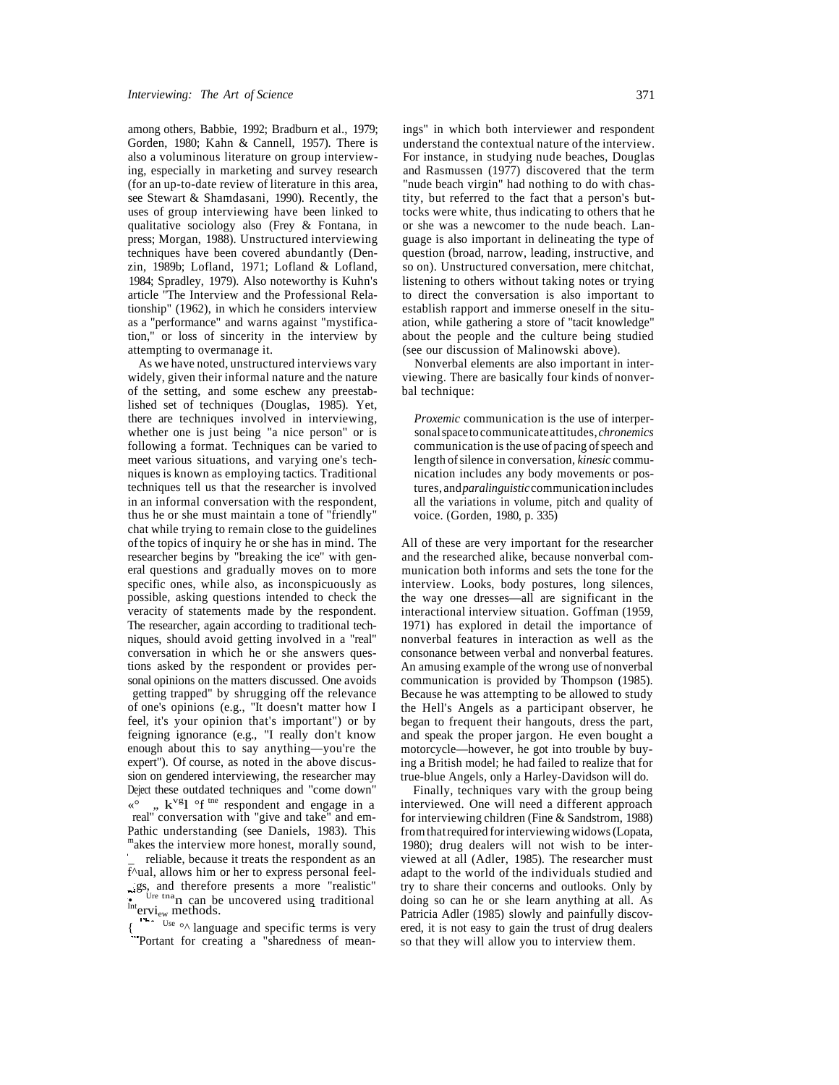among others, Babbie, 1992; Bradburn et al., 1979; Gorden, 1980; Kahn & Cannell, 1957). There is also a voluminous literature on group interviewing, especially in marketing and survey research (for an up-to-date review of literature in this area, see Stewart & Shamdasani, 1990). Recently, the uses of group interviewing have been linked to qualitative sociology also (Frey & Fontana, in press; Morgan, 1988). Unstructured interviewing techniques have been covered abundantly (Denzin, 1989b; Lofland, 1971; Lofland & Lofland, 1984; Spradley, 1979). Also noteworthy is Kuhn's article "The Interview and the Professional Relationship" (1962), in which he considers interview as a "performance" and warns against "mystification," or loss of sincerity in the interview by attempting to overmanage it.

As we have noted, unstructured interviews vary widely, given their informal nature and the nature of the setting, and some eschew any preestablished set of techniques (Douglas, 1985). Yet, there are techniques involved in interviewing, whether one is just being "a nice person" or is following a format. Techniques can be varied to meet various situations, and varying one's techniques is known as employing tactics. Traditional techniques tell us that the researcher is involved in an informal conversation with the respondent, thus he or she must maintain a tone of "friendly" chat while trying to remain close to the guidelines of the topics of inquiry he or she has in mind. The researcher begins by "breaking the ice" with general questions and gradually moves on to more specific ones, while also, as inconspicuously as possible, asking questions intended to check the veracity of statements made by the respondent. The researcher, again according to traditional techniques, should avoid getting involved in a "real" conversation in which he or she answers questions asked by the respondent or provides personal opinions on the matters discussed. One avoids getting trapped" by shrugging off the relevance of one's opinions (e.g., "It doesn't matter how I feel, it's your opinion that's important") or by feigning ignorance (e.g., "I really don't know enough about this to say anything—you're the expert"). Of course, as noted in the above discussion on gendered interviewing, the researcher may Deject these outdated techniques and "come down"  $\begin{pmatrix} 0 \\ 0 \end{pmatrix}$ ,  $k^{\nu}$ gl <sup>o</sup>f <sup>the</sup> respondent and engage in a real" conversation with "give and take" and em-Pathic understanding (see Daniels, 1983). This makes the interview more honest, morally sound, reliable, because it treats the respondent as an f^ual, allows him or her to express personal feelgs, and therefore presents a more "realistic"  $\int_{\text{int}}^{\text{Unte,} } \text{tan}^2 \text{n} \cdot \text{tan}^2 \text{tan}^2 \text{n} \cdot \text{tan}^2 \text{n} \cdot \text{tan}^2 \text{n} \cdot \text{tan}^2 \text{n} \cdot \text{tan}^2 \text{n} \cdot \text{tan}^2 \text{n} \cdot \text{tan}^2 \text{n} \cdot \text{tan}^2 \text{n} \cdot \text{tan}^2 \text{n} \cdot \text{tan}^2 \text{n} \cdot \text{tan}^2 \text{n} \cdot \text{tan}^2 \text{n} \cdot \text{tan}^2 \text{n} \cdot \text{tan}^2 \text{n} \cdot \$ Ure tna<sub>n</sub> can be uncovered using traditional

{  $\cdot$   $\cdot$  Use  $\circ$  language and specific terms is very Portant for creating a "sharedness of meanings" in which both interviewer and respondent understand the contextual nature of the interview. For instance, in studying nude beaches, Douglas and Rasmussen (1977) discovered that the term "nude beach virgin" had nothing to do with chastity, but referred to the fact that a person's buttocks were white, thus indicating to others that he or she was a newcomer to the nude beach. Language is also important in delineating the type of question (broad, narrow, leading, instructive, and so on). Unstructured conversation, mere chitchat, listening to others without taking notes or trying to direct the conversation is also important to establish rapport and immerse oneself in the situation, while gathering a store of "tacit knowledge" about the people and the culture being studied (see our discussion of Malinowski above).

Nonverbal elements are also important in interviewing. There are basically four kinds of nonverbal technique:

*Proxemic* communication is the use of interpersonal space to communicate attitudes, *chronemics* communication is the use of pacing of speech and length of silence in conversation, *kinesic* communication includes any body movements or postures, and *paralinguistic* communication includes all the variations in volume, pitch and quality of voice. (Gorden, 1980, p. 335)

All of these are very important for the researcher and the researched alike, because nonverbal communication both informs and sets the tone for the interview. Looks, body postures, long silences, the way one dresses—all are significant in the interactional interview situation. Goffman (1959, 1971) has explored in detail the importance of nonverbal features in interaction as well as the consonance between verbal and nonverbal features. An amusing example of the wrong use of nonverbal communication is provided by Thompson (1985). Because he was attempting to be allowed to study the Hell's Angels as a participant observer, he began to frequent their hangouts, dress the part, and speak the proper jargon. He even bought a motorcycle—however, he got into trouble by buying a British model; he had failed to realize that for true-blue Angels, only a Harley-Davidson will do.

Finally, techniques vary with the group being interviewed. One will need a different approach for interviewing children (Fine & Sandstrom, 1988) from that required for interviewing widows (Lopata, 1980); drug dealers will not wish to be interviewed at all (Adler, 1985). The researcher must adapt to the world of the individuals studied and try to share their concerns and outlooks. Only by doing so can he or she learn anything at all. As Patricia Adler (1985) slowly and painfully discovered, it is not easy to gain the trust of drug dealers so that they will allow you to interview them.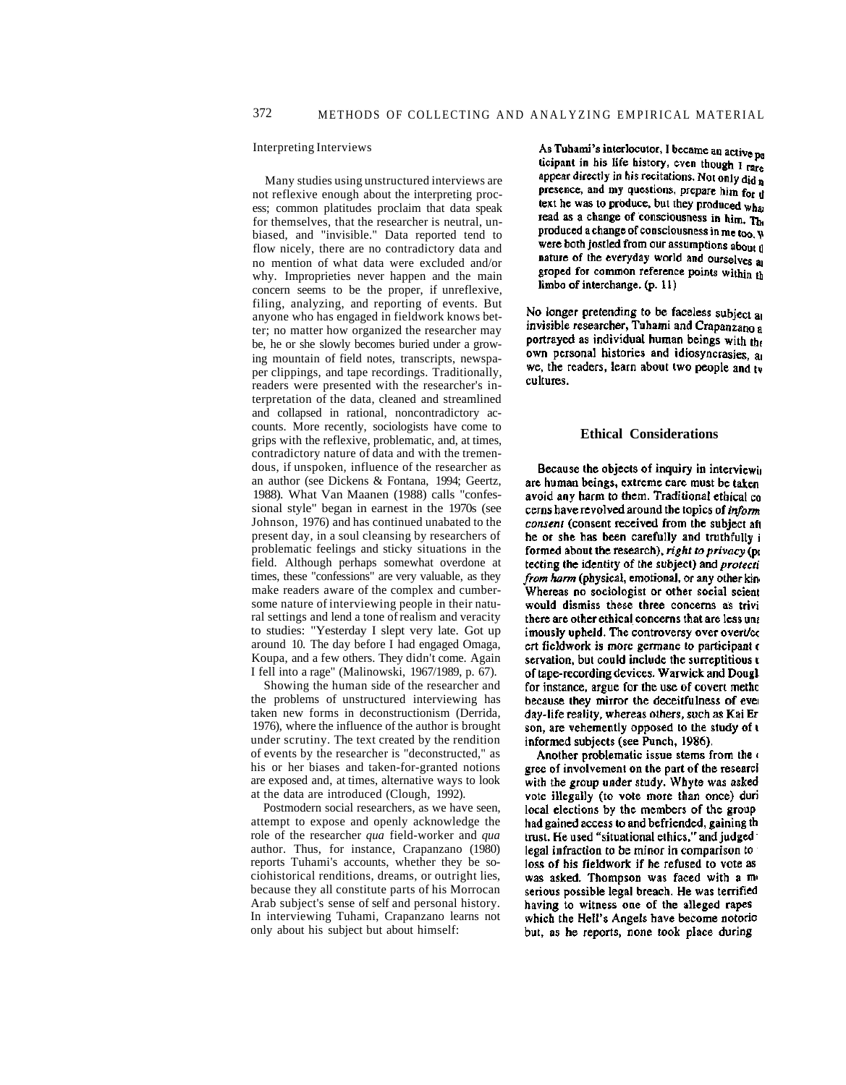#### Interpreting Interviews

Many studies using unstructured interviews are not reflexive enough about the interpreting process; common platitudes proclaim that data speak for themselves, that the researcher is neutral, unbiased, and "invisible." Data reported tend to flow nicely, there are no contradictory data and no mention of what data were excluded and/or why. Improprieties never happen and the main concern seems to be the proper, if unreflexive, filing, analyzing, and reporting of events. But anyone who has engaged in fieldwork knows better; no matter how organized the researcher may be, he or she slowly becomes buried under a growing mountain of field notes, transcripts, newspaper clippings, and tape recordings. Traditionally, readers were presented with the researcher's interpretation of the data, cleaned and streamlined and collapsed in rational, noncontradictory accounts. More recently, sociologists have come to grips with the reflexive, problematic, and, at times, contradictory nature of data and with the tremendous, if unspoken, influence of the researcher as an author (see Dickens & Fontana, 1994; Geertz, 1988). What Van Maanen (1988) calls "confessional style" began in earnest in the 1970s (see Johnson, 1976) and has continued unabated to the present day, in a soul cleansing by researchers of problematic feelings and sticky situations in the field. Although perhaps somewhat overdone at times, these "confessions" are very valuable, as they make readers aware of the complex and cumbersome nature of interviewing people in their natural settings and lend a tone of realism and veracity to studies: "Yesterday I slept very late. Got up around 10. The day before I had engaged Omaga, Koupa, and a few others. They didn't come. Again I fell into a rage" (Malinowski, 1967/1989, p. 67).

Showing the human side of the researcher and the problems of unstructured interviewing has taken new forms in deconstructionism (Derrida, 1976), where the influence of the author is brought under scrutiny. The text created by the rendition of events by the researcher is "deconstructed," as his or her biases and taken-for-granted notions are exposed and, at times, alternative ways to look at the data are introduced (Clough, 1992).

Postmodern social researchers, as we have seen, attempt to expose and openly acknowledge the role of the researcher *qua* field-worker and *qua* author. Thus, for instance, Crapanzano (1980) reports Tuhami's accounts, whether they be sociohistorical renditions, dreams, or outright lies, because they all constitute parts of his Morrocan Arab subject's sense of self and personal history. In interviewing Tuhami, Crapanzano learns not only about his subject but about himself:

As Tuhami's interlocutor, I became an active pa ticipant in his life history, even though I rare appear directly in his recitations. Not only did  $\mathbf n$ presence, and my questions, prepare him for it text he was to produce, but they produced what read as a change of consciousness in him. The produced a change of consciousness in me too. W were both jostled from our assumptions about il nature of the everyday world and ourselves a groped for common reference points within th limbo of interchange. (p. 11)

No longer pretending to be faceless subject at invisible researcher, Tuhami and Crapanzano a portrayed as individual human beings with the own personal histories and idiosyncrasies, a we, the readers, learn about two people and ty cultures.

## **Ethical Considerations**

Because the objects of inquiry in interviewi are human beings, extreme care must be taken avoid any harm to them. Traditional ethical cocerns have revolved around the topics of *inform* consent (consent received from the subject aft he or she has been carefully and truthfully i formed about the research), right to privacy (pt tecting the identity of the subject) and protecti from harm (physical, emotional, or any other kin Whereas no sociologist or other social scient would dismiss these three concerns as trivi there are other ethical concerns that are less una imously upheld. The controversy over overt/cc ert fieldwork is more germane to participant o servation, but could include the surreptitious v of tape-recording devices. Warwick and Dougl. for instance, argue for the use of covert methe because they mirror the deceitfulness of ever day-life reality, whereas others, such as Kai Er son, are vehemently opposed to the study of a informed subjects (see Punch, 1986).

Another problematic issue stems from the o gree of involvement on the part of the researci with the group under study. Whyte was asked vote illegally (to vote more than once) duri local elections by the members of the group had gained access to and befriended, gaining th trust. He used "situational ethics," and judged legal infraction to be minor in comparison to loss of his fieldwork if he refused to vote as was asked. Thompson was faced with a m serious possible legal breach. He was terrified having to witness one of the alleged rapes which the Hell's Angels have become notorio but, as he reports, none took place during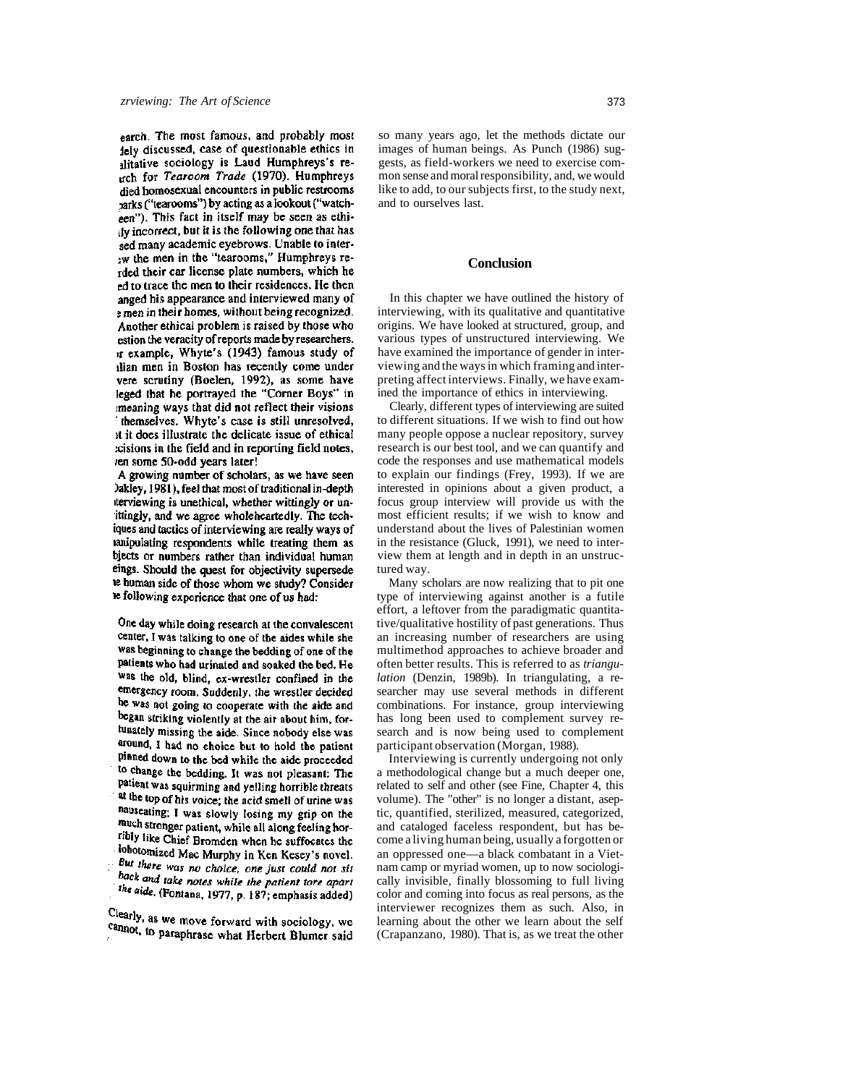earch. The most famous, and probably most lely discussed, case of questionable ethics in alitative sociology is Laud Humphreys's reuch for Tearoom Trade (1970). Humphreys died homosexual encounters in public restrooms parks ("tearooms") by acting as a lookout ("watcheen"). This fact in itself may be seen as ethily incorrect, but it is the following one that has sed many academic eyebrows. Unable to inter-:w the men in the "tearooms," Humphreys rerded their car license plate numbers, which he ed to trace the men to their residences. He then anged his appearance and interviewed many of e men in their homes, without being recognized. Another ethical problem is raised by those who estion the veracity of reports made by researchers. if example, Whyte's (1943) famous study of ilian men in Boston has recently come under vere scrutiny (Boelen, 1992), as some have leged that he portrayed the "Corner Boys" in meaning ways that did not reflect their visions themselves. Whyte's case is still unresolved, it it does illustrate the delicate issue of ethical cisions in the field and in reporting field notes, ten some 50-odd years later!

A growing number of scholars, as we have seen )akley, 1981), feel that most of traditional in-depth iterviewing is unethical, whether wittingly or unittingly, and we agree wholeheartedly. The techiques and tactics of interviewing are really ways of ianipulating respondents while treating them as bjects or numbers rather than individual human eings. Should the quest for objectivity supersede ie human side of those whom we study? Consider re following experience that one of us had:

One day while doing research at the convalescent center, I was talking to one of the aides while she was beginning to change the bedding of one of the patients who had urinated and soaked the bed. He was the old, blind, ex-wrestler confined in the emergency room. Suddenly, the wrestler decided be was not going to cooperate with the aide and began striking violently at the air about him, forlunately missing the aide. Since nobody else was around, I had no choice but to hold the patient pinned down to the bed while the aide proceeded to change the bedding. It was not pleasant: The patient was squirming and yelling horrible threats at the top of his voice; the acid smell of urine was nauseating: I was slowly losing my grip on the much stronger patient, while all along feeling horribly like Chief Bromden when he suffocates the lobotomized Mac Murphy in Ken Kesey's novel. But there was no choice, one just could not sit back and take notes while the patient tore apart the aide. (Fontana, 1977, p. 187; emphasis added)

Clearly, as we move forward with sociology, we<br>cannot, to passphrane what Harbort Planter and cannot, to paraphrase what Herbert Blumer said

so many years ago, let the methods dictate our images of human beings. As Punch (1986) suggests, as field-workers we need to exercise common sense and moral responsibility, and, we would like to add, to our subjects first, to the study next, and to ourselves last.

## **Conclusion**

In this chapter we have outlined the history of interviewing, with its qualitative and quantitative origins. We have looked at structured, group, and various types of unstructured interviewing. We have examined the importance of gender in interviewing and the ways in which framing and interpreting affect interviews. Finally, we have examined the importance of ethics in interviewing.

Clearly, different types of interviewing are suited to different situations. If we wish to find out how many people oppose a nuclear repository, survey research is our best tool, and we can quantify and code the responses and use mathematical models to explain our findings (Frey, 1993). If we are interested in opinions about a given product, a focus group interview will provide us with the most efficient results; if we wish to know and understand about the lives of Palestinian women in the resistance (Gluck, 1991), we need to interview them at length and in depth in an unstructured way.

Many scholars are now realizing that to pit one type of interviewing against another is a futile effort, a leftover from the paradigmatic quantitative/qualitative hostility of past generations. Thus an increasing number of researchers are using multimethod approaches to achieve broader and often better results. This is referred to as *triangulation* (Denzin, 1989b). In triangulating, a researcher may use several methods in different combinations. For instance, group interviewing has long been used to complement survey research and is now being used to complement participant observation (Morgan, 1988).

Interviewing is currently undergoing not only a methodological change but a much deeper one, related to self and other (see Fine, Chapter 4, this volume). The "other" is no longer a distant, aseptic, quantified, sterilized, measured, categorized, and cataloged faceless respondent, but has become a living human being, usually a forgotten or an oppressed one—a black combatant in a Vietnam camp or myriad women, up to now sociologically invisible, finally blossoming to full living color and coming into focus as real persons, as the interviewer recognizes them as such. Also, in learning about the other we learn about the self (Crapanzano, 1980). That is, as we treat the other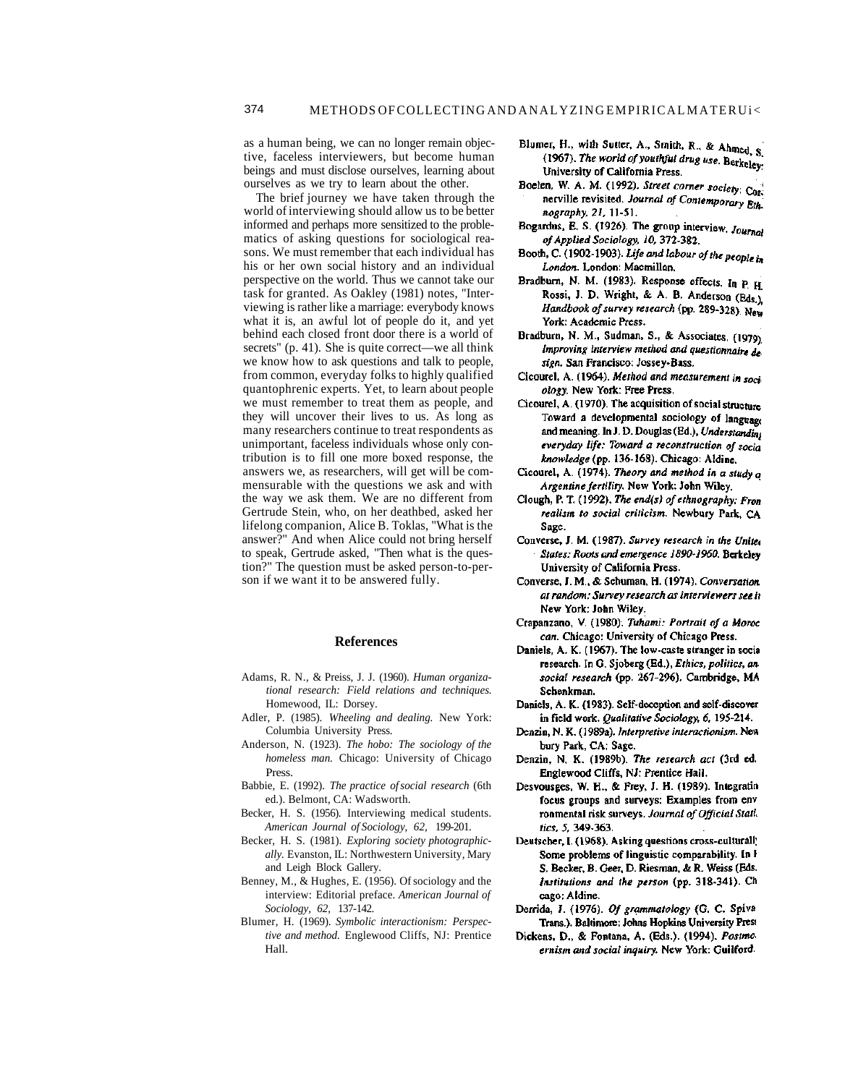as a human being, we can no longer remain objective, faceless interviewers, but become human beings and must disclose ourselves, learning about ourselves as we try to learn about the other.

The brief journey we have taken through the world of interviewing should allow us to be better informed and perhaps more sensitized to the problematics of asking questions for sociological reasons. We must remember that each individual has his or her own social history and an individual perspective on the world. Thus we cannot take our task for granted. As Oakley (1981) notes, "Interviewing is rather like a marriage: everybody knows what it is, an awful lot of people do it, and yet behind each closed front door there is a world of secrets" (p. 41). She is quite correct—we all think we know how to ask questions and talk to people, from common, everyday folks to highly qualified quantophrenic experts. Yet, to learn about people we must remember to treat them as people, and they will uncover their lives to us. As long as many researchers continue to treat respondents as unimportant, faceless individuals whose only contribution is to fill one more boxed response, the answers we, as researchers, will get will be commensurable with the questions we ask and with the way we ask them. We are no different from Gertrude Stein, who, on her deathbed, asked her lifelong companion, Alice B. Toklas, "What is the answer?" And when Alice could not bring herself to speak, Gertrude asked, "Then what is the question?" The question must be asked person-to-person if we want it to be answered fully.

## **References**

- Adams, R. N., & Preiss, J. J. (1960). *Human organizational research: Field relations and techniques.* Homewood, IL: Dorsey.
- Adler, P. (1985). *Wheeling and dealing.* New York: Columbia University Press.
- Anderson, N. (1923). *The hobo: The sociology of the homeless man.* Chicago: University of Chicago Press.
- Babbie, E. (1992). *The practice of social research* (6th ed.). Belmont, CA: Wadsworth.
- Becker, H. S. (1956). Interviewing medical students. *American Journal of Sociology, 62,* 199-201.
- Becker, H. S. (1981). *Exploring society photographically.* Evanston, IL: Northwestern University, Mary and Leigh Block Gallery.
- Benney, M., & Hughes, E. (1956). Of sociology and the interview: Editorial preface. *American Journal of Sociology, 62,* 137-142.
- Blumer, H. (1969). *Symbolic interactionism: Perspective and method.* Englewood Cliffs, NJ: Prentice Hall.
- Blumer, H., with Sutter, A., Smith, R., & Ahmed,  $S$ (1967). The world of youthful drug use. Berkeley. University of California Press.
- Boelen, W. A. M. (1992). Street corner society; Cornerville revisited. Journal of Contemporary Eth. nography, 21, 11-51.
- Bogardus, E. S. (1926). The group interview. Journal of Applied Sociology, 10, 372-382.
- Booth, C. (1902-1903). Life and labour of the people in London. London: Macmillan.
- Bradburn, N. M. (1983). Response effects. In P. H. Rossi, J. D. Wright, & A. B. Anderson (Eds.) Handbook of survey research (pp. 289-328). New York: Academic Press.
- Bradburn, N. M., Sudman, S., & Associates. (1979) Improving interview method and questionnaire de. sign. San Francisco: Jossey-Bass.
- Cicourel, A. (1964). Method and measurement in sociology. New York: Free Press.
- Cicourel, A. (1970). The acquisition of social structure Toward a developmental sociology of language and meaning. In J. D. Douglas (Ed.), Understanding everyday life: Toward a reconstruction of socia knowledge (pp. 136-168). Chicago: Aldine.
- Cicourel, A. (1974). Theory and method in a study a Argentine fertility. New York: John Wiley.
- Clough, P. T. (1992). The end(s) of ethnography: From realism to social criticism. Newbury Park, CA Sage.
- Converse, J. M. (1987). Survey research in the United States: Roots and emergence 1890-1960. Berkeley University of California Press.
- Converse, J. M., & Schuman, H. (1974). Conversation. at random: Survey research as interviewers see h New York: John Wiley.
- Crapanzano, V. (1980). Tuhami: Portrait of a Moroc can. Chicago: University of Chicago Press.
- Daniels, A. K. (1967). The low-caste stranger in social research. In G. Sjoberg (Ed.), Ethics, politics, an social research (pp. 267-296). Cambridge, MA Schenkman.
- Daniels, A. K. (1983). Self-deception and self-discover in field work. Qualitative Sociology, 6, 195-214.
- Denzin, N. K. (1989a). Interpretive interactionism. New bury Park, CA: Sage.
- Denzin, N. K. (1989b). The research act (3rd ed. Englewood Cliffs, NJ: Prentice Hall.
- Desvousges, W. H., & Frey, J. H. (1989). Integratin focus groups and surveys: Examples from env ronmental risk surveys. Journal of Official Stati. tics, 5, 349-363.
- Deutscher, I. (1968). Asking questions cross-culturally Some problems of linguistic comparability. In I S. Becker, B. Geer, D. Riesman, & R. Weiss (Eds. Institutions and the person (pp. 318-341). Ch cago; Aldine.
- Derrida, J. (1976). Of grammatology (G. C. Spiva Trans.). Baltimore: Johns Hopkins University Prest
- Dickens, D., & Fontana, A. (Eds.). (1994). Postmoernism and social inquiry. New York: Guilford.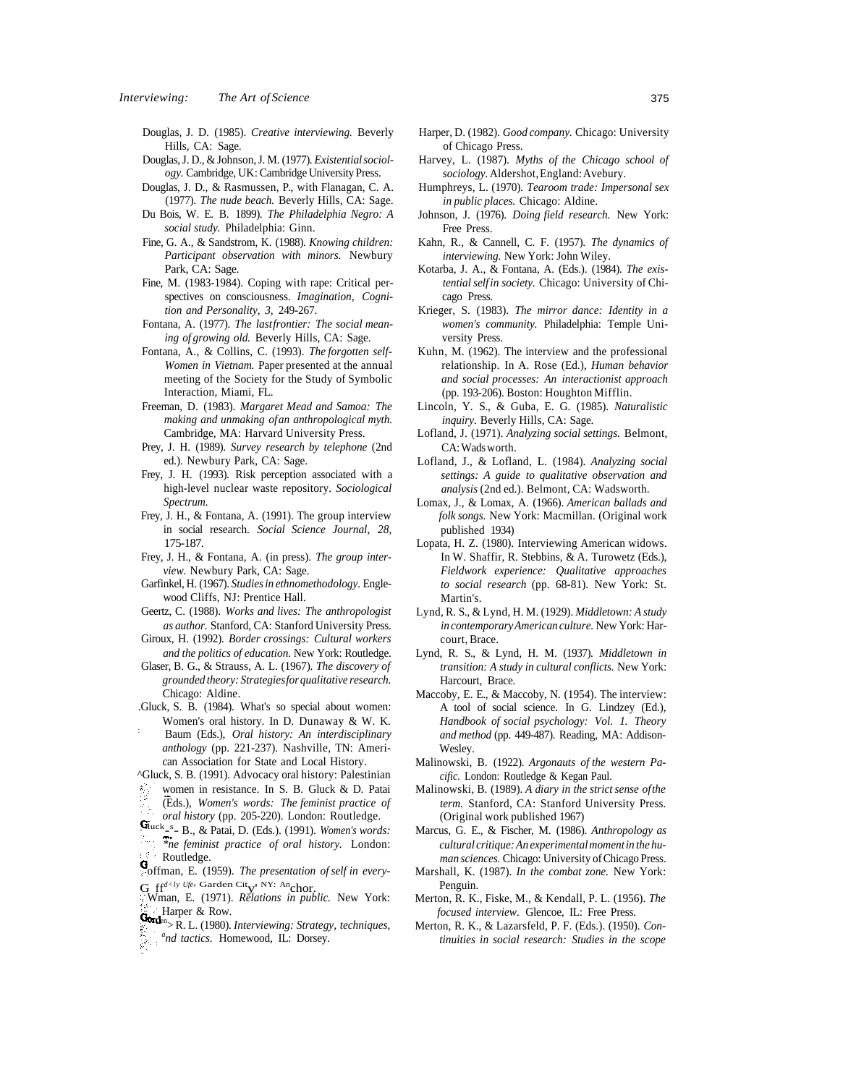- Douglas, J. D. (1985). *Creative interviewing.* Beverly Hills, CA: Sage.
- Douglas, J. D., & Johnson, J. M. (1977). *Existential sociology.* Cambridge, UK: Cambridge University Press.
- Douglas, J. D., & Rasmussen, P., with Flanagan, C. A. (1977). *The nude beach.* Beverly Hills, CA: Sage.
- Du Bois, W. E. B. 1899). *The Philadelphia Negro: A social study.* Philadelphia: Ginn.
- Fine, G. A., & Sandstrom, K. (1988). *Knowing children: Participant observation with minors.* Newbury Park, CA: Sage.
- Fine, M. (1983-1984). Coping with rape: Critical perspectives on consciousness. *Imagination, Cognition and Personality, 3,* 249-267.
- Fontana, A. (1977). The lastfrontier: The social mean*ing of growing old.* Beverly Hills, CA: Sage.
- Fontana, A., & Collins, C. (1993). *The forgotten self-Women in Vietnam.* Paper presented at the annual meeting of the Society for the Study of Symbolic Interaction, Miami, FL.
- Freeman, D. (1983). *Margaret Mead and Samoa: The making and unmaking of an anthropological myth.* Cambridge, MA: Harvard University Press.
- Prey, J. H. (1989). *Survey research by telephone* (2nd ed.). Newbury Park, CA: Sage.
- Frey, J. H. (1993). Risk perception associated with a high-level nuclear waste repository. *Sociological Spectrum.*
- Frey, J. H., & Fontana, A. (1991). The group interview in social research. *Social Science Journal, 28,* 175-187.
- Frey, J. H., & Fontana, A. (in press). *The group interview.* Newbury Park, CA: Sage.
- Garfinkel, H. (1967). *Studies in ethnomethodology.* Englewood Cliffs, NJ: Prentice Hall.
- Geertz, C. (1988). *Works and lives: The anthropologist as author.* Stanford, CA: Stanford University Press.
- Giroux, H. (1992). *Border crossings: Cultural workers and the politics of education.* New York: Routledge.
- Glaser, B. G., & Strauss, A. L. (1967). *The discovery of grounded theory: Strategies for qualitative research.* Chicago: Aldine.
- .Gluck, S. B. (1984). What's so special about women: Women's oral history. In D. Dunaway & W. K. : Baum (Eds.), *Oral history: An interdisciplinary anthology* (pp. 221-237). Nashville, TN: American Association for State and Local History.
- ^Gluck, S. B. (1991). Advocacy oral history: Palestinian women in resistance. In S. B. Gluck & D. Patai (Eds.), *Women's words: The feminist practice of oral history* (pp. 205-220). London: Routledge.
- luck s B., & Patai, D. (Eds.). (1991). *Women's words: \*ne feminist practice of oral history.* London: Routledge.
- offman, E. (1959). *The presentation of self in every-* $G_{\rm M}$ ff<sup>d<ly Ufe<sub>r</sub></sub> Garden Cit<sub>y</sub><sup>,</sup> NY: Anchor.</sup>
- Wman, E. (1971). *Relations in public.* New York: Harper & Row.
- en> R. L. (1980). *Interviewing: Strategy, techniques,*
- *a nd tactics.* Homewood, IL: Dorsey.
- Harper, D. (1982). *Good company.* Chicago: University of Chicago Press.
- Harvey, L. (1987). *Myths of the Chicago school of sociology.* Aldershot, England: Avebury.
- Humphreys, L. (1970). *Tearoom trade: Impersonal sex in public places.* Chicago: Aldine.
- Johnson, J. (1976). *Doing field research.* New York: Free Press.
- Kahn, R., & Cannell, C. F. (1957). *The dynamics of interviewing.* New York: John Wiley.
- Kotarba, J. A., & Fontana, A. (Eds.). (1984). *The existential self in society.* Chicago: University of Chicago Press.
- Krieger, S. (1983). *The mirror dance: Identity in a women's community.* Philadelphia: Temple University Press.
- Kuhn, M. (1962). The interview and the professional relationship. In A. Rose (Ed.), *Human behavior and social processes: An interactionist approach* (pp. 193-206). Boston: Houghton Mifflin.
- Lincoln, Y. S., & Guba, E. G. (1985). *Naturalistic inquiry.* Beverly Hills, CA: Sage.
- Lofland, J. (1971). *Analyzing social settings.* Belmont, CA: Wads worth.
- Lofland, J., & Lofland, L. (1984). *Analyzing social settings: A guide to qualitative observation and analysis* (2nd ed.). Belmont, CA: Wadsworth.
- Lomax, J., & Lomax, A. (1966). *American ballads and folk songs.* New York: Macmillan. (Original work published 1934)
- Lopata, H. Z. (1980). Interviewing American widows. In W. Shaffir, R. Stebbins, & A. Turowetz (Eds.), *Fieldwork experience: Qualitative approaches to social research* (pp. 68-81). New York: St. Martin's.
- Lynd, R. S., & Lynd, H. M. (1929). *Middletown: A study in contemporary American culture.* New York: Harcourt, Brace.
- Lynd, R. S., & Lynd, H. M. (1937). *Middletown in transition: A study in cultural conflicts.* New York: Harcourt, Brace.
- Maccoby, E. E., & Maccoby, N. (1954). The interview: A tool of social science. In G. Lindzey (Ed.), *Handbook of social psychology: Vol. 1. Theory and method* (pp. 449-487). Reading, MA: Addison-Wesley.
- Malinowski, B. (1922). *Argonauts of the western Pacific.* London: Routledge & Kegan Paul.
- Malinowski, B. (1989). *A diary in the strict sense of the term.* Stanford, CA: Stanford University Press. (Original work published 1967)
- Marcus, G. E., & Fischer, M. (1986). *Anthropology as cultural critique: An experimental moment in the human sciences.* Chicago: University of Chicago Press.
- Marshall, K. (1987). *In the combat zone.* New York: Penguin.
- Merton, R. K., Fiske, M., & Kendall, P. L. (1956). *The focused interview.* Glencoe, IL: Free Press.
- Merton, R. K., & Lazarsfeld, P. F. (Eds.). (1950). *Continuities in social research: Studies in the scope*